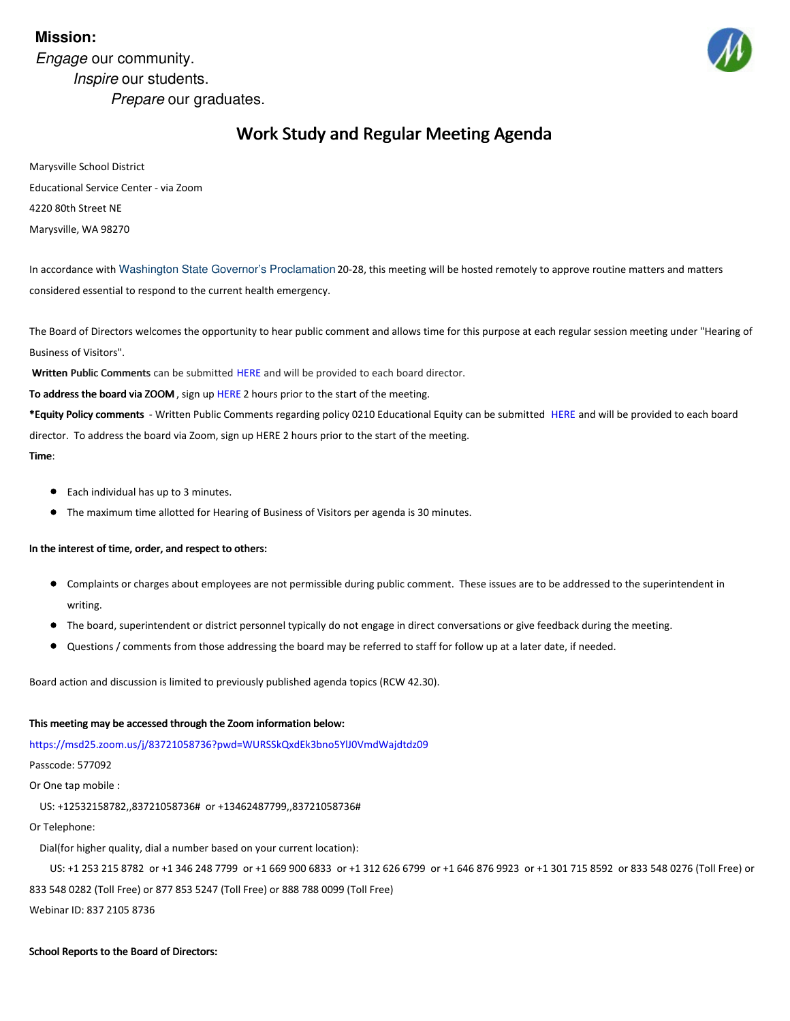# **Mission:**

*Engage* our community. *Inspire* our students. *Prepare* our graduates.



# Work Study and Regular Meeting Agenda

Marysville School District Educational Service Center - via Zoom 4220 80th Street NE Marysville, WA 98270

In accordance with Washington State Governor's [Proclamation](https://www.governor.wa.gov/sites/default/files/proclamations/20-28 - COVID-19 Open Govt Laws Waivers %28tmp%291.pdf?utm_medium=email&utm_source=govdelivery) 20-28, this meeting will be hosted remotely to approve routine matters and matters considered essential to respond to the current health emergency.

The Board of Directors welcomes the opportunity to hear public comment and allows time for this purpose at each regular session meeting under "Hearing of Business of Visitors".

Written Public Comments can be submitted [HERE](https://forms.gle/TDLrkLcA1pu67Zo5A) and will be provided to each board director.

To address the board via ZOOM, sign up [HERE](https://forms.gle/TDLrkLcA1pu67Zo5A) 2 hours prior to the start of the meeting.

\*Equity Policy comments - Written Public Comments regarding policy 0210 Educational Equity can be submitted [HERE](https://forms.gle/qnBRv5WQkv8fNtw36) and will be provided to each board director. To address the board via Zoom, sign up HERE 2 hours prior to the start of the meeting.

#### Time:

- Each individual has up to 3 minutes.
- The maximum time allotted for Hearing of Business of Visitors per agenda is 30 minutes.

### In the interest of time, order, and respect to others:

- Complaints or charges about employees are not permissible during public comment. These issues are to be addressed to the superintendent in writing.
- The board, superintendent or district personnel typically do not engage in direct conversations or give feedback during the meeting.
- Questions / comments from those addressing the board may be referred to staff for follow up at a later date, if needed.

Board action and discussion is limited to previously published agenda topics (RCW 42.30).

### This meeting may be accessed through the Zoom information below:

[https://msd25.zoom.us/j/83721058736?pwd=WURSSkQxdEk3bno5YlJ0VmdWajdtdz09](#page-1-0)

Passcode: 577092

Or One tap mobile :

US: +12532158782,,83721058736# or +13462487799,,83721058736#

Or Telephone:

Dial(for higher quality, dial a number based on your current location):

US: +1 253 215 8782 or +1 346 248 7799 or +1 669 900 6833 or +1 312 626 6799 or +1 646 876 9923 or +1 301 715 8592 or 833 548 0276 (Toll Free) or 833 548 0282 (Toll Free) or 877 853 5247 (Toll Free) or 888 788 0099 (Toll Free)

Webinar ID: 837 2105 8736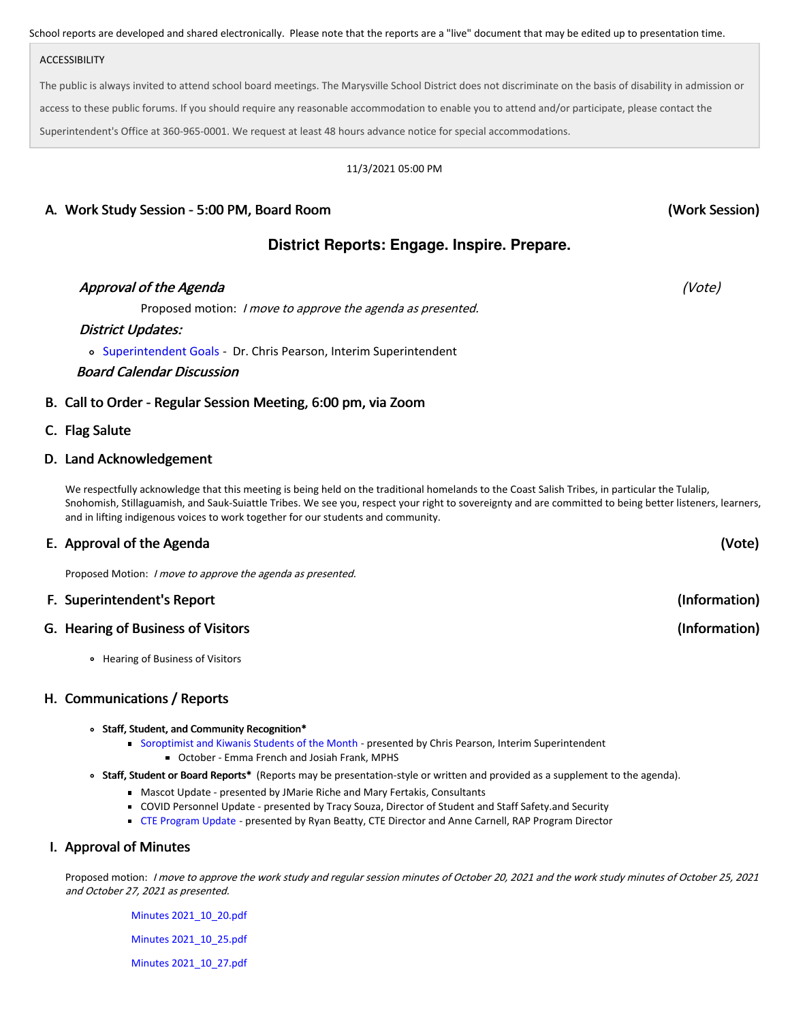<span id="page-1-0"></span>School reports are developed and shared electronically. Please note that the reports are a "live" document that may be edited up to presentation time.

### ACCESSIBILITY

The public is always invited to attend school board meetings. The Marysville School District does not discriminate on the basis of disability in admission or access to these public forums. If you should require any reasonable accommodation to enable you to attend and/or participate, please contact the Superintendent's Office at 360-965-0001. We request at least 48 hours advance notice for special accommodations.

#### 11/3/2021 05:00 PM

# A. Work Study Session - 5:00 PM, Board Room

# **District Reports: Engage. Inspire. Prepare.**

# Approval of the Agenda (Vote) and the second second second second second second second second second second second second second second second second second second second second second second second second second second se

Proposed motion: *I move to approve the agenda as presented.* 

### District Updates:

[Superintendent](https://docs.google.com/presentation/d/10DdtFszz8Ng-AnwCQuqp-lKHfYpU6W-QKifMo6qujX8/edit?usp=sharing) Goals - Dr. Chris Pearson, Interim Superintendent

### Board Calendar Discussion

# B. Call to Order - Regular Session Meeting, 6:00 pm, via Zoom

### C. Flag Salute

### D. Land Acknowledgement

We respectfully acknowledge that this meeting is being held on the traditional homelands to the Coast Salish Tribes, in particular the Tulalip, Snohomish, Stillaguamish, and Sauk-Suiattle Tribes. We see you, respect your right to sovereignty and are committed to being better listeners, learners, and in lifting indigenous voices to work together for our students and community.

# E. Approval of the Agenda

Proposed Motion: I move to approve the agenda as presented.

# F. Superintendent's Report

# G. Hearing of Business of Visitors

Hearing of Business of Visitors

# H. Communications / Reports

#### Staff, Student, and Community Recognition\*

- [Soroptimist](https://docs.google.com/presentation/d/12RTS-ha6MOYlSY7AXWiQaa6AWRVf-PD7WQlmVIaXVdg/edit?usp=sharing) and Kiwanis Students of the Month presented by Chris Pearson, Interim Superintendent October - Emma French and Josiah Frank, MPHS
- Staff, Student or Board Reports\* (Reports may be presentation-style or written and provided as a supplement to the agenda).
	- Mascot Update presented by JMarie Riche and Mary Fertakis, Consultants
	- COVID Personnel Update presented by Tracy Souza, Director of Student and Staff Safety.and Security
	- CTE [Program](https://docs.google.com/presentation/d/1f87g_9796_-VAY3VNbKWtP-NQqsatCipNzoyOIC4cbk/edit?usp=sharing) Update presented by Ryan Beatty, CTE Director and Anne Carnell, RAP Program Director

# I. Approval of Minutes

Proposed motion: I move to approve the work study and regular session minutes of October 20, 2021 and the work study minutes of October 25, 2021 and October 27, 2021 as presented.

Minutes [2021\\_10\\_20.pdf](https://app.eduportal.com/documents/view/813234) Minutes [2021\\_10\\_25.pdf](https://app.eduportal.com/documents/view/813235) Minutes [2021\\_10\\_27.pdf](https://app.eduportal.com/documents/view/813236) (Work Session)

(Vote)

(Information)

(Information)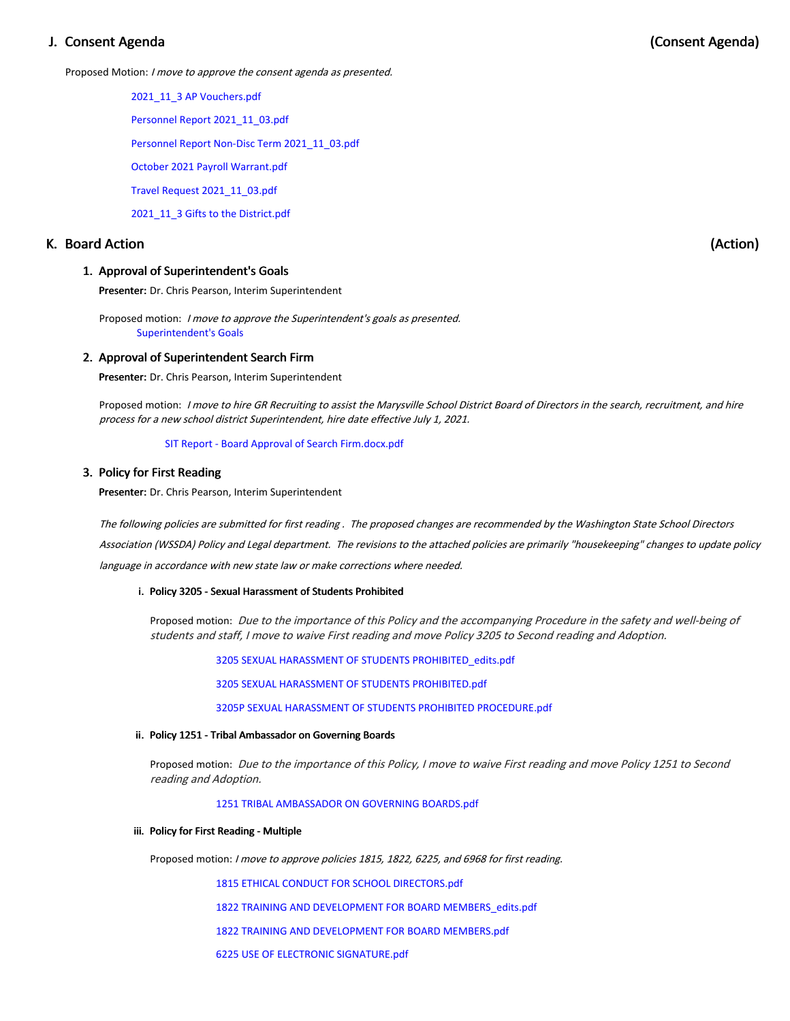# J. Consent Agenda

Proposed Motion: I move to approve the consent agenda as presented.

2021\_11\_3 AP [Vouchers.pdf](https://app.eduportal.com/documents/view/812808)

Personnel Report [2021\\_11\\_03.pdf](https://app.eduportal.com/documents/view/812946)

Personnel Report Non-Disc Term [2021\\_11\\_03.pdf](https://app.eduportal.com/documents/view/812945)

October 2021 Payroll [Warrant.pdf](https://app.eduportal.com/documents/view/812805)

Travel Request [2021\\_11\\_03.pdf](https://app.eduportal.com/documents/view/812807)

[2021\\_11\\_3](https://app.eduportal.com/documents/view/812806) Gifts to the District.pdf

# K. Board Action

#### 1. Approval of Superintendent's Goals

Presenter: Dr. Chris Pearson, Interim Superintendent

Proposed motion: I move to approve the Superintendent's goals as presented. [Superintendent's](https://docs.google.com/presentation/d/10DdtFszz8Ng-AnwCQuqp-lKHfYpU6W-QKifMo6qujX8/edit?usp=sharing) Goals

#### 2. Approval of Superintendent Search Firm

Presenter: Dr. Chris Pearson, Interim Superintendent

Proposed motion: I move to hire GR Recruiting to assist the Marysville School District Board of Directors in the search, recruitment, and hire process for <sup>a</sup> new school district Superintendent, hire date effective July 1, 2021.

SIT Report - Board Approval of Search [Firm.docx.pdf](https://app.eduportal.com/documents/view/813053)

#### 3. Policy for First Reading

Presenter: Dr. Chris Pearson, Interim Superintendent

The following policies are submitted for first reading . The proposed changes are recommended by the Washington State School Directors Association (WSSDA) Policy and Legal department. The revisions to the attached policies are primarily "housekeeping" changes to update policy language in accordance with new state law or make corrections where needed.

#### i. Policy 3205 - Sexual Harassment of Students Prohibited

Proposed motion: Due to the importance of this Policy and the accompanying Procedure in the safety and well-being of students and staff, I move to waive First reading and move Policy 3205 to Second reading and Adoption.

3205 SEXUAL HARASSMENT OF STUDENTS [PROHIBITED\\_edits.pdf](https://app.eduportal.com/documents/view/812845)

3205 SEXUAL HARASSMENT OF STUDENTS [PROHIBITED.pdf](https://app.eduportal.com/documents/view/812951)

3205P SEXUAL HARASSMENT OF STUDENTS PROHIBITED [PROCEDURE.pdf](https://app.eduportal.com/documents/view/812949)

#### ii. Policy 1251 - Tribal Ambassador on Governing Boards

Proposed motion: Due to the importance of this Policy, <sup>I</sup> move to waive First reading and move Policy 1251 to Second reading and Adoption.

1251 TRIBAL [AMBASSADOR](https://app.eduportal.com/documents/view/812847) ON GOVERNING BOARDS.pdf

#### iii. Policy for First Reading - Multiple

Proposed motion: <sup>I</sup> move to approve policies 1815, 1822, 6225, and <sup>6968</sup> for first reading.

1815 ETHICAL CONDUCT FOR SCHOOL [DIRECTORS.pdf](https://app.eduportal.com/documents/view/812841)

1822 TRAINING AND DEVELOPMENT FOR BOARD [MEMBERS\\_edits.pdf](https://app.eduportal.com/documents/view/812843)

1822 TRAINING AND [DEVELOPMENT](https://app.eduportal.com/documents/view/812840) FOR BOARD MEMBERS.pdf

6225 USE OF ELECTRONIC [SIGNATURE.pdf](https://app.eduportal.com/documents/view/812846)

(Action)